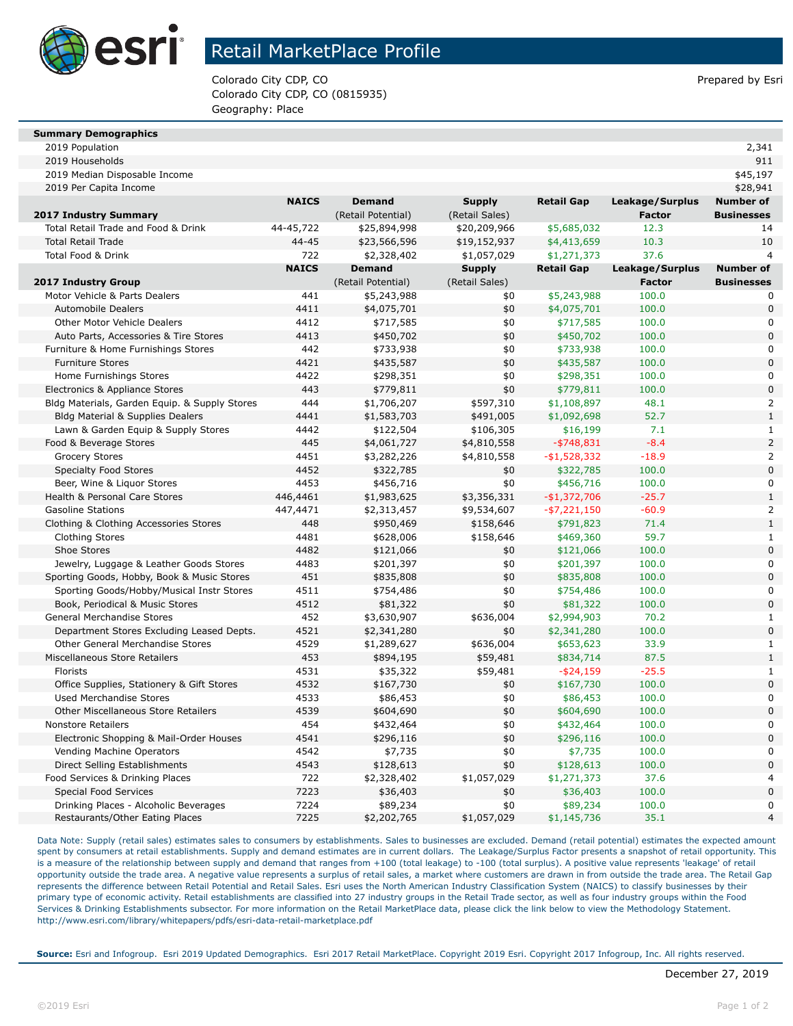

## Retail MarketPlace Profile

Colorado City CDP, CO Prepared by Esri Colorado City CDP, CO (0815935) Geography: Place

| <b>Summary Demographics</b> |  |
|-----------------------------|--|

2019 Population 2,341

| 2019 Households                               |              |                    |                |                   |                 | 911                              |
|-----------------------------------------------|--------------|--------------------|----------------|-------------------|-----------------|----------------------------------|
| 2019 Median Disposable Income                 |              |                    |                |                   |                 | \$45,197                         |
| 2019 Per Capita Income                        |              |                    |                |                   |                 | \$28,941                         |
|                                               | <b>NAICS</b> | <b>Demand</b>      | <b>Supply</b>  | <b>Retail Gap</b> | Leakage/Surplus | <b>Number of</b>                 |
| <b>2017 Industry Summary</b>                  |              | (Retail Potential) | (Retail Sales) |                   | <b>Factor</b>   | <b>Businesses</b>                |
| Total Retail Trade and Food & Drink           | 44-45,722    | \$25,894,998       | \$20,209,966   | \$5,685,032       | 12.3            | 14                               |
| <b>Total Retail Trade</b>                     | $44 - 45$    | \$23,566,596       | \$19,152,937   | \$4,413,659       | 10.3            | 10                               |
| <b>Total Food &amp; Drink</b>                 | 722          | \$2,328,402        | \$1,057,029    | \$1,271,373       | 37.6            | $\overline{4}$                   |
|                                               | <b>NAICS</b> | <b>Demand</b>      | <b>Supply</b>  | <b>Retail Gap</b> | Leakage/Surplus | <b>Number of</b>                 |
| <b>2017 Industry Group</b>                    |              | (Retail Potential) | (Retail Sales) |                   | <b>Factor</b>   | <b>Businesses</b>                |
| Motor Vehicle & Parts Dealers                 | 441          | \$5,243,988        | \$0            | \$5,243,988       | 100.0           | 0                                |
| <b>Automobile Dealers</b>                     | 4411         | \$4,075,701        | \$0            | \$4,075,701       | 100.0           | $\mathbf 0$                      |
| Other Motor Vehicle Dealers                   | 4412         | \$717,585          | \$0            | \$717,585         | 100.0           | $\mathbf 0$                      |
| Auto Parts, Accessories & Tire Stores         | 4413         | \$450,702          | \$0            | \$450,702         | 100.0           | 0                                |
| Furniture & Home Furnishings Stores           | 442          | \$733,938          | \$0            | \$733,938         | 100.0           | $\Omega$                         |
| <b>Furniture Stores</b>                       | 4421         | \$435,587          | \$0            | \$435,587         | 100.0           | 0                                |
| Home Furnishings Stores                       | 4422         | \$298,351          | \$0            | \$298,351         | 100.0           | $\Omega$                         |
| Electronics & Appliance Stores                | 443          | \$779,811          | \$0            | \$779,811         | 100.0           | $\overline{0}$                   |
| Bldg Materials, Garden Equip. & Supply Stores | 444          | \$1,706,207        | \$597,310      | \$1,108,897       | 48.1            | $\overline{a}$                   |
| Bldg Material & Supplies Dealers              | 4441         | \$1,583,703        | \$491,005      | \$1,092,698       | 52.7            | $\overline{1}$                   |
| Lawn & Garden Equip & Supply Stores           | 4442         | \$122,504          | \$106,305      | \$16,199          | 7.1             | $\mathbf{1}$                     |
| Food & Beverage Stores                        | 445          | \$4,061,727        | \$4,810,558    | $-$ \$748,831     | $-8.4$          | $\overline{a}$                   |
| <b>Grocery Stores</b>                         | 4451         | \$3,282,226        | \$4,810,558    | $-$1,528,332$     | $-18.9$         | $\overline{a}$                   |
| <b>Specialty Food Stores</b>                  | 4452         | \$322,785          | \$0            | \$322,785         | 100.0           | $\Omega$                         |
| Beer, Wine & Liguor Stores                    | 4453         | \$456,716          | \$0            | \$456,716         | 100.0           | $\mathbf 0$                      |
| Health & Personal Care Stores                 | 446,4461     | \$1,983,625        | \$3,356,331    | $-$1,372,706$     | $-25.7$         | $\mathbf{1}$                     |
| <b>Gasoline Stations</b>                      | 447,4471     | \$2,313,457        | \$9,534,607    | $-$ \$7,221,150   | $-60.9$         | $\overline{a}$                   |
| Clothing & Clothing Accessories Stores        | 448          | \$950,469          | \$158,646      | \$791,823         | 71.4            | $\mathbf{1}$                     |
| <b>Clothing Stores</b>                        | 4481         | \$628,006          | \$158,646      | \$469,360         | 59.7            | $\mathbf{1}$                     |
| Shoe Stores                                   | 4482         | \$121,066          | \$0            | \$121,066         | 100.0           | $\overline{0}$                   |
| Jewelry, Luggage & Leather Goods Stores       | 4483         | \$201,397          | \$0            | \$201,397         | 100.0           | 0                                |
| Sporting Goods, Hobby, Book & Music Stores    | 451          | \$835,808          | \$0            | \$835,808         | 100.0           | $\Omega$                         |
| Sporting Goods/Hobby/Musical Instr Stores     | 4511         | \$754,486          | \$0            | \$754,486         | 100.0           | $\mathbf 0$                      |
| Book, Periodical & Music Stores               | 4512         | \$81,322           | \$0            | \$81,322          | 100.0           | $\overline{0}$                   |
| General Merchandise Stores                    | 452          | \$3,630,907        | \$636,004      | \$2,994,903       | 70.2            | $\mathbf{1}$                     |
| Department Stores Excluding Leased Depts.     | 4521         | \$2,341,280        | \$0            | \$2,341,280       | 100.0           | $\overline{0}$                   |
| Other General Merchandise Stores              | 4529         | \$1,289,627        | \$636,004      | \$653,623         | 33.9            | $\mathbf{1}$                     |
| Miscellaneous Store Retailers                 | 453          | \$894,195          | \$59,481       | \$834,714         | 87.5            | $\mathbf{1}$                     |
| Florists                                      | 4531         | \$35,322           | \$59,481       | $-$ \$24,159      | $-25.5$         | $\mathbf{1}$                     |
| Office Supplies, Stationery & Gift Stores     | 4532         | \$167,730          | \$0            | \$167,730         | 100.0           | $\overline{0}$                   |
| <b>Used Merchandise Stores</b>                | 4533         | \$86,453           | \$0            | \$86,453          | 100.0           | $\mathbf 0$                      |
| <b>Other Miscellaneous Store Retailers</b>    | 4539         | \$604,690          | \$0            | \$604,690         | 100.0           | $\overline{0}$                   |
| <b>Nonstore Retailers</b>                     | 454          | \$432,464          | \$0            | \$432,464         | 100.0           | 0                                |
| Electronic Shopping & Mail-Order Houses       | 4541         | \$296,116          | \$0            | \$296,116         | 100.0           | $\overline{0}$                   |
| Vending Machine Operators                     | 4542         | \$7,735            | \$0            | \$7,735           | 100.0           | $\mathbf 0$                      |
| Direct Selling Establishments                 | 4543         | \$128,613          | \$0            | \$128,613         | 100.0           | $\overline{0}$                   |
| Food Services & Drinking Places               | 722          | \$2,328,402        | \$1,057,029    | \$1,271,373       | 37.6            | 4                                |
| <b>Special Food Services</b>                  | 7223         | \$36,403           | \$0            | \$36,403          | 100.0           | $\overline{0}$                   |
| Drinking Places - Alcoholic Beverages         | 7224         | \$89,234           | \$0            | \$89,234          | 100.0           | $\overline{0}$<br>$\overline{4}$ |
| Restaurants/Other Eating Places               | 7225         | \$2,202,765        | \$1,057,029    | \$1,145,736       | 35.1            |                                  |

Data Note: Supply (retail sales) estimates sales to consumers by establishments. Sales to businesses are excluded. Demand (retail potential) estimates the expected amount spent by consumers at retail establishments. Supply and demand estimates are in current dollars. The Leakage/Surplus Factor presents a snapshot of retail opportunity. This is a measure of the relationship between supply and demand that ranges from +100 (total leakage) to -100 (total surplus). A positive value represents 'leakage' of retail opportunity outside the trade area. A negative value represents a surplus of retail sales, a market where customers are drawn in from outside the trade area. The Retail Gap represents the difference between Retail Potential and Retail Sales. Esri uses the North American Industry Classification System (NAICS) to classify businesses by their primary type of economic activity. Retail establishments are classified into 27 industry groups in the Retail Trade sector, as well as four industry groups within the Food Services & Drinking Establishments subsector. For more information on the Retail MarketPlace data, please click the link below to view the Methodology Statement. http://www.esri.com/library/whitepapers/pdfs/esri-data-retail-marketplace.pdf

**Source:** Esri and Infogroup. Esri 2019 Updated Demographics. Esri 2017 Retail MarketPlace. Copyright 2019 Esri. Copyright 2017 Infogroup, Inc. All rights reserved.